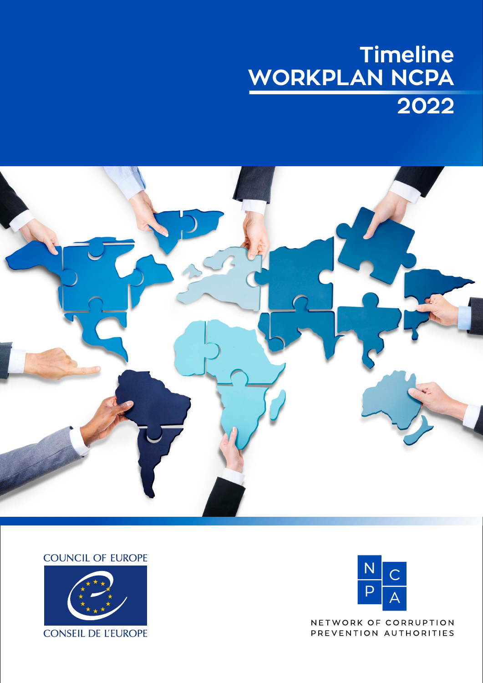## **Timeline WORKPLAN NCPA 2022**



**COUNCIL OF EUROPE** 





NETWORK OF CORRUPTION PREVENTION AUTHORITIES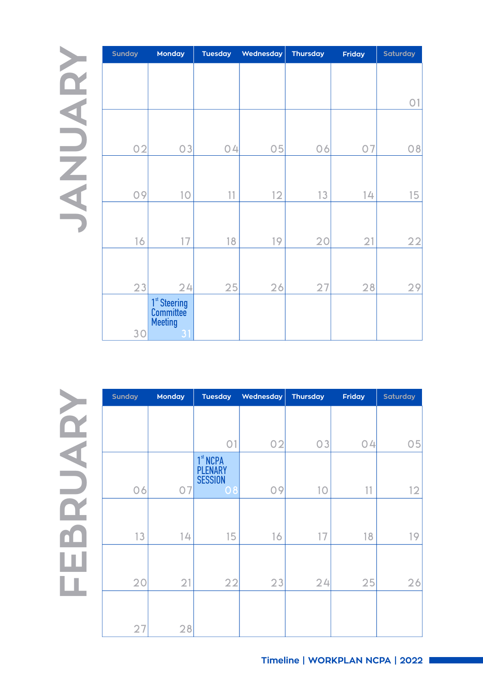**JANUARY**

| <b>Sunday</b> | <b>Tuesday</b><br>Monday                                      |    | Wednesday | <b>Thursday</b> | Friday | Saturday       |
|---------------|---------------------------------------------------------------|----|-----------|-----------------|--------|----------------|
|               |                                                               |    |           |                 |        |                |
|               |                                                               |    |           |                 |        |                |
|               |                                                               |    |           |                 |        | O <sub>1</sub> |
|               |                                                               |    |           |                 |        |                |
| 02            | O <sub>3</sub>                                                | 04 | 05        | 06              | 07     | 08             |
|               |                                                               |    |           |                 |        |                |
| 09            | 10                                                            | 11 | 12        | 13              | 14     | 15             |
| 16            | 17                                                            | 18 | 19        | 20              | 21     | 22             |
| 23            | 24                                                            | 25 | 26        | 27              | 28     | 29             |
| 30            | 1 <sup>st</sup> Steering<br>Committee<br><b>Meeting</b><br>31 |    |           |                 |        |                |

**FEBRUARY**

| <b>Sunday</b> | <b>Monday</b> | <b>Tuesday</b>                                                 | Wednesday | <b>Thursday</b> | <b>Friday</b> | Saturday |
|---------------|---------------|----------------------------------------------------------------|-----------|-----------------|---------------|----------|
|               |               |                                                                |           |                 |               |          |
|               |               | O <sub>1</sub>                                                 | 02        | 03              | 04            | 05       |
| 06            | 07            | 1 <sup>st</sup> NCPA<br><b>PLENARY</b><br><b>SESSION</b><br>08 | 09        | 10              | 11            | 12       |
| 13            | 14            | 15                                                             | 16        | 17              | 18            | 19       |
| 20            | 21            | 22                                                             | 23        | 24              | 25            | 26       |
| 27            | 28            |                                                                |           |                 |               |          |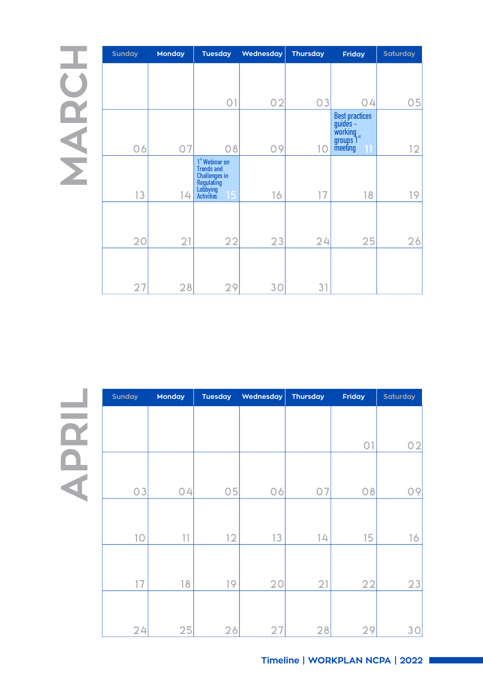## **MARCH**

| <b>Sunday</b> | <b>Monday</b><br><b>Tuesday</b> |                                                                                                                | Wednesday | <b>Thursday</b><br><b>Friday</b> |                                                                                     | <b>Saturday</b> |
|---------------|---------------------------------|----------------------------------------------------------------------------------------------------------------|-----------|----------------------------------|-------------------------------------------------------------------------------------|-----------------|
|               |                                 |                                                                                                                |           |                                  |                                                                                     |                 |
|               |                                 | O <sub>1</sub>                                                                                                 | 02        | 03                               | 04                                                                                  | 05              |
| 06            | 07                              | 08                                                                                                             | 09        | 10                               | <b>Best practices</b><br>$guides -$<br>working<br>groups 1 <sup>st</sup><br>meeting | 12              |
| 13            | 14                              | 1 <sup>st</sup> Webinar on<br><b>Trends and</b><br>Challenges in<br>Regulating<br>Lobbying<br>Activities<br>15 | 16        | 17                               | 18                                                                                  | 19              |
| 20            | 21                              | 22                                                                                                             | 23        | 24                               | 25                                                                                  | 26              |
| 27            | 28                              | 29                                                                                                             | 30        | 31                               |                                                                                     |                 |

| Sunday         | <b>Monday</b> | <b>Tuesday</b> | Wednesday | Thursday | Friday         | Saturday |
|----------------|---------------|----------------|-----------|----------|----------------|----------|
|                |               |                |           |          |                |          |
|                |               |                |           |          | O <sub>1</sub> | 02       |
|                |               |                |           |          |                |          |
| O <sub>3</sub> | 04            | 05             | 06        | 07       | 08             | 09       |
|                |               |                |           |          |                |          |
| 10             | 11            | 12             | 13        | 14       | 15             | 16       |
|                |               |                |           |          |                |          |
| 17             | 18            | 19             | 20        | 21       | 22             | 23       |
|                |               |                |           |          |                |          |
| 24             | 25            | 26             | 27        | 28       | 29             | 30       |

**APRIL**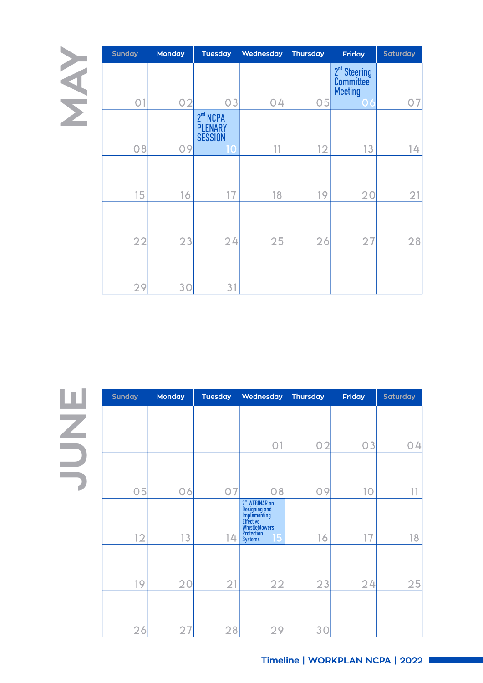| <b>Sunday</b>  | <b>Monday</b><br><b>Tuesday</b> |                                                                | Wednesday | <b>Thursday</b> | <b>Friday</b>                                           | <b>Saturday</b> |
|----------------|---------------------------------|----------------------------------------------------------------|-----------|-----------------|---------------------------------------------------------|-----------------|
|                | 02                              | 03                                                             |           |                 | 2 <sup>nd</sup> Steering<br>Committee<br><b>Meeting</b> |                 |
| O <sub>1</sub> |                                 |                                                                | 04        | 05              | 06                                                      | 07              |
| 08             | 09                              | 2 <sup>nd</sup> NCPA<br><b>PLENARY</b><br><b>SESSION</b><br>10 | 11        | 12              | 13                                                      | 4               |
|                |                                 |                                                                |           |                 |                                                         |                 |
| 15             | 16                              | 17                                                             | 18        | 19              | 20                                                      | 21              |
| 22             | 23                              | 24                                                             | 25        | 26              | 27                                                      | 28              |
| 29             | 3 <sup>C</sup>                  | 31                                                             |           |                 |                                                         |                 |

**JUNE**

| <b>Sunday</b> | Monday<br><b>Tuesday</b> |    | Wednesday                                                                                                                    | Thursday | Friday         | <b>Saturday</b> |
|---------------|--------------------------|----|------------------------------------------------------------------------------------------------------------------------------|----------|----------------|-----------------|
|               |                          |    |                                                                                                                              |          |                |                 |
|               |                          |    | O <sub>1</sub>                                                                                                               | 02       | O <sub>3</sub> | 04              |
|               |                          |    |                                                                                                                              |          |                |                 |
| 05            | 06                       | 07 | 08                                                                                                                           | 09       | 10             |                 |
| 12            | 13                       | 14 | 2 <sup>nd</sup> WEBINAR on<br>Designing<br>Implementing<br>Effective<br>Whistleblowers<br>Protection<br>15<br><b>Systems</b> | 16       | 17             | 18              |
| 19            | 20                       |    | 22                                                                                                                           |          | 24             | 25              |
|               |                          | 21 |                                                                                                                              | 23       |                |                 |
|               |                          |    |                                                                                                                              |          |                |                 |
| 26            | 27                       | 28 | 29                                                                                                                           | 3C       |                |                 |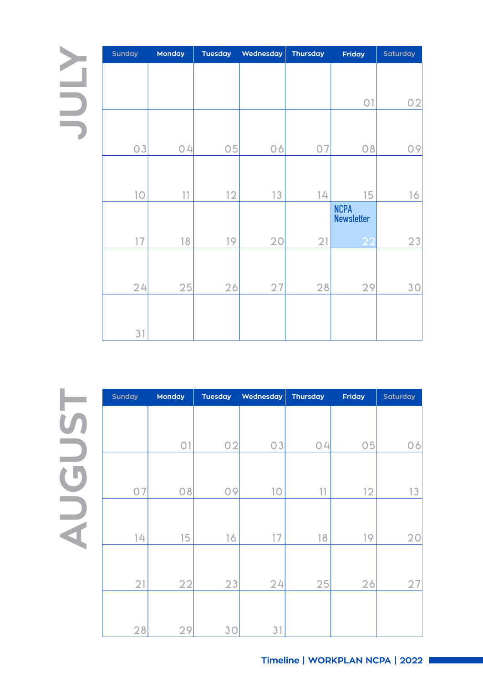## **JULY**

| Sunday | Monday<br><b>Tuesday</b> |    | Wednesday | <b>Thursday</b> | Friday                           | Saturday |
|--------|--------------------------|----|-----------|-----------------|----------------------------------|----------|
|        |                          |    |           |                 |                                  |          |
|        |                          |    |           |                 | O <sub>1</sub>                   | 02       |
|        |                          |    |           |                 |                                  |          |
| 03     | 04                       | 05 | 06        | 07              | 08                               | 09       |
|        |                          |    |           |                 |                                  |          |
| 10     | 11                       | 12 | 13        | 14              | 15                               | 16       |
|        |                          |    |           |                 | <b>NCPA</b><br><b>Newsletter</b> |          |
| 17     | 18                       | 19 | 20        | 21              | 22                               | 23       |
|        |                          |    |           |                 |                                  |          |
| 24     | 25                       | 26 | 27        | 28              | 29                               | 30       |
|        |                          |    |           |                 |                                  |          |
| 31     |                          |    |           |                 |                                  |          |

**AUGU** $\boldsymbol{\mathsf{S}}$ **T**

| <b>Sunday</b> | Monday<br><b>Tuesday</b> |    | Wednesday | <b>Thursday</b> | <b>Friday</b> | <b>Saturday</b> |  |
|---------------|--------------------------|----|-----------|-----------------|---------------|-----------------|--|
|               |                          |    |           |                 |               |                 |  |
|               |                          |    |           |                 |               |                 |  |
|               | O <sub>1</sub>           | 02 | 03        | 04              | 05            | 06              |  |
|               |                          |    |           |                 |               |                 |  |
|               |                          |    |           |                 |               |                 |  |
| 07            | 08                       | 09 | 10        | 11              | 12            | 13              |  |
|               |                          |    |           |                 |               |                 |  |
|               |                          |    |           |                 |               |                 |  |
| 14            | 15                       | 16 | 17        | 18              | 19            | 20              |  |
|               |                          |    |           |                 |               |                 |  |
|               |                          |    |           |                 |               |                 |  |
| 21            | 22                       | 23 | 24        | 25              | 26            | 27              |  |
|               |                          |    |           |                 |               |                 |  |
|               |                          |    |           |                 |               |                 |  |
| 28            | 29                       | 30 | 31        |                 |               |                 |  |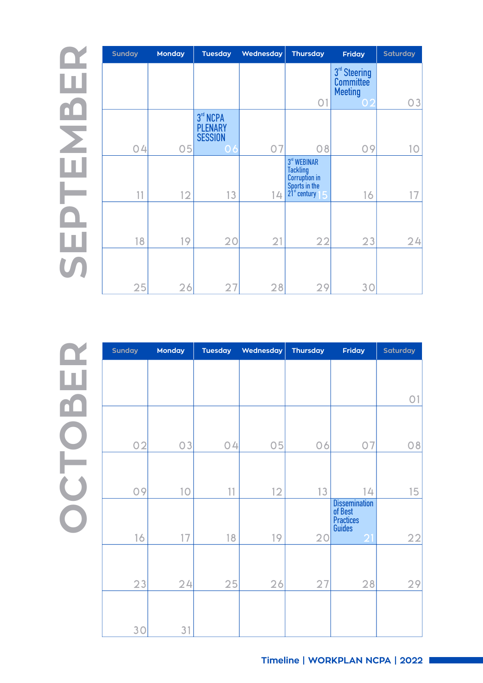$\boldsymbol{\mathsf{S}}$ **EPTEMBER**

| <b>Sunday</b> | <b>Monday</b> | <b>Tuesday</b>                               | Wednesday | <b>Thursday</b>                                                                       | <b>Friday</b>                                           | <b>Saturday</b> |
|---------------|---------------|----------------------------------------------|-----------|---------------------------------------------------------------------------------------|---------------------------------------------------------|-----------------|
|               |               |                                              |           |                                                                                       | 3 <sup>rd</sup> Steering<br>Committee<br><b>Meeting</b> |                 |
|               |               |                                              |           | O <sub>1</sub>                                                                        | $\overline{O}$                                          | 03              |
|               |               | 3rd NCPA<br><b>PLENARY</b><br><b>SESSION</b> |           |                                                                                       |                                                         |                 |
| 04            | 05            | 06                                           | 07        | 08                                                                                    | 09                                                      | 10              |
| 11            | 12            | 13                                           | 14        | 3rd WEBINAR<br>Tackling<br>Corruption in<br>Sports in the<br>21 <sup>st</sup> century | 16                                                      |                 |
| 18            | 19            | 20                                           | 21        | 22                                                                                    | 23                                                      | 24              |
| 25            | 26            | 27                                           | 28        | 29                                                                                    | 30                                                      |                 |

**OCTOBER**

| Sunday | Monday<br><b>Tuesday</b> |    | Wednesday | <b>Thursday</b> |                                                      | Saturday       |
|--------|--------------------------|----|-----------|-----------------|------------------------------------------------------|----------------|
|        |                          |    |           |                 |                                                      |                |
|        |                          |    |           |                 |                                                      | O <sub>1</sub> |
|        |                          |    |           |                 |                                                      |                |
| 02     | 03                       | 04 | 05        | 06              | 07                                                   | 08             |
| 09     | 10                       | 11 | 12        | 13              | 14                                                   | 15             |
|        |                          |    |           |                 | Dissemination<br>of Best                             |                |
| 16     | 17                       | 18 | 19        | 20              | <b>Practices</b><br><b>Guides</b><br>$\overline{21}$ | 22             |
| 23     | 24                       | 25 | 26        | 27              | 28                                                   | 29             |
|        |                          |    |           |                 |                                                      |                |
| 30     | 31                       |    |           |                 |                                                      |                |